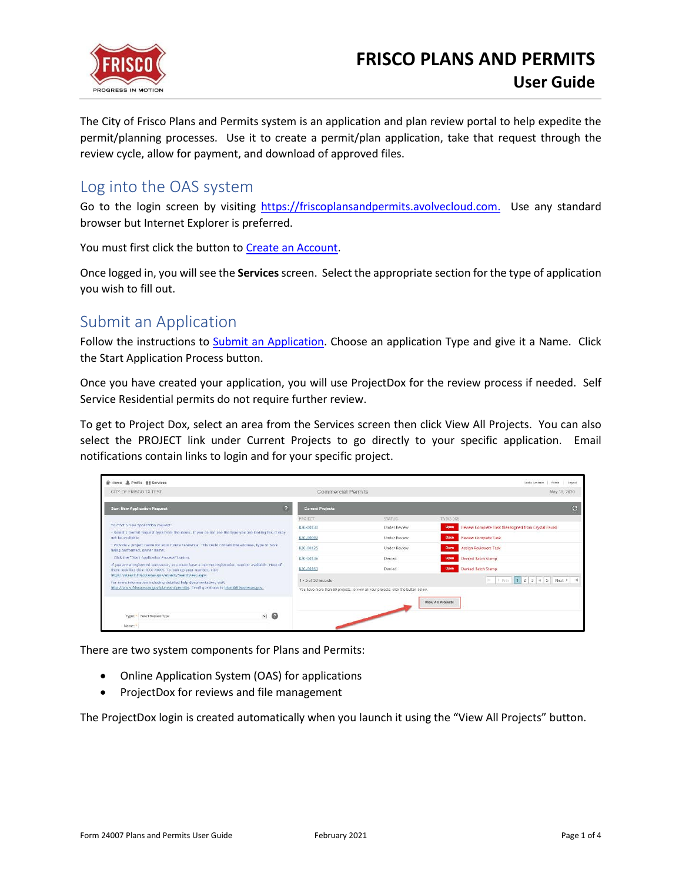

The City of Frisco Plans and Permits system is an application and plan review portal to help expedite the permit/planning processes. Use it to create a permit/plan application, take that request through the review cycle, allow for payment, and download of approved files.

## Log into the OAS system

Go to the login screen by visiting [https://friscoplansandpermits.avolvecloud.com.](https://friscoplansandpermits.avolvecloud.com/) Use any standard browser but Internet Explorer is preferred.

You must first click the button to [Create an Account.](https://www.friscotexas.gov/DocumentCenter/View/21715)

Once logged in, you will see the **Services**screen. Select the appropriate section for the type of application you wish to fill out.

# Submit an Application

Follow the instructions to **Submit an Application**. Choose an application Type and give it a Name. Click the Start Application Process button.

Once you have created your application, you will use ProjectDox for the review process if needed. Self Service Residential permits do not require further review.

To get to Project Dox, select an area from the Services screen then click View All Projects. You can also select the PROJECT link under Current Projects to go directly to your specific application. Email notifications contain links to login and for your specific project.



There are two system components for Plans and Permits:

- Online Application System (OAS) for applications
- ProjectDox for reviews and file management

The ProjectDox login is created automatically when you launch it using the "View All Projects" button.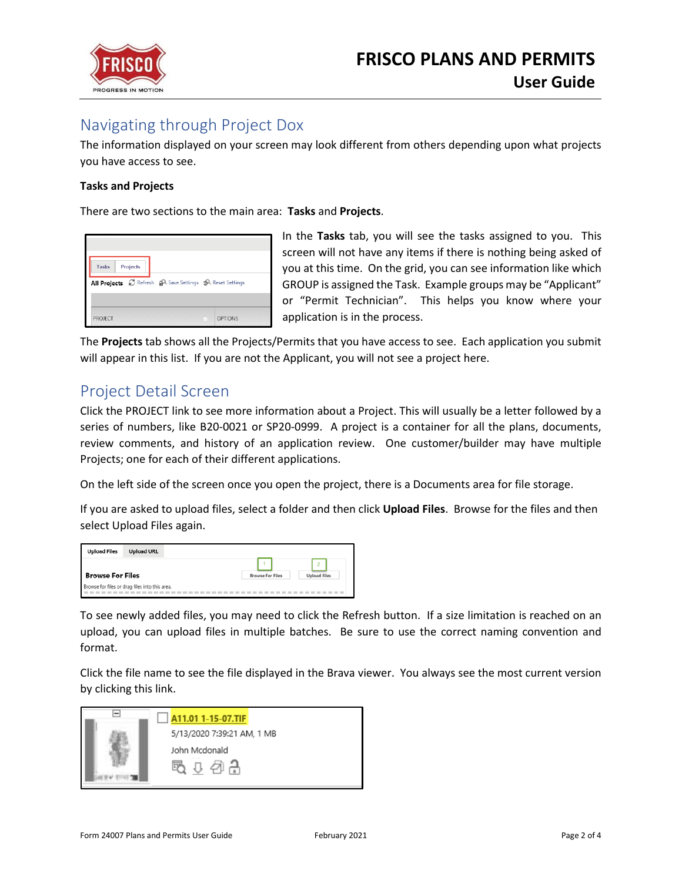

# Navigating through Project Dox

The information displayed on your screen may look different from others depending upon what projects you have access to see.

#### **Tasks and Projects**

There are two sections to the main area: **Tasks** and **Projects**.

| <b>Projects</b> |  | All Projects & Refresh A Save Settings SA Reset Settings |  |
|-----------------|--|----------------------------------------------------------|--|
|                 |  | <b>OPTIONS</b>                                           |  |

In the **Tasks** tab, you will see the tasks assigned to you. This screen will not have any items if there is nothing being asked of you at this time. On the grid, you can see information like which GROUP is assigned the Task. Example groups may be "Applicant" or "Permit Technician". This helps you know where your application is in the process.

The **Projects** tab shows all the Projects/Permits that you have access to see. Each application you submit will appear in this list. If you are not the Applicant, you will not see a project here.

## Project Detail Screen

Click the PROJECT link to see more information about a Project. This will usually be a letter followed by a series of numbers, like B20-0021 or SP20-0999. A project is a container for all the plans, documents, review comments, and history of an application review. One customer/builder may have multiple Projects; one for each of their different applications.

On the left side of the screen once you open the project, there is a Documents area for file storage.

If you are asked to upload files, select a folder and then click **Upload Files**. Browse for the files and then select Upload Files again.

| <b>Upload Files</b>     | <b>Upload URL</b>                              |                         |                                       |
|-------------------------|------------------------------------------------|-------------------------|---------------------------------------|
| <b>Browse For Files</b> |                                                | <b>Browse For Files</b> | $\overline{2}$<br><b>Upload Files</b> |
|                         | Browse for files or drag files into this area. |                         |                                       |

To see newly added files, you may need to click the Refresh button. If a size limitation is reached on an upload, you can upload files in multiple batches. Be sure to use the correct naming convention and format.

Click the file name to see the file displayed in the Brava viewer. You always see the most current version by clicking this link.

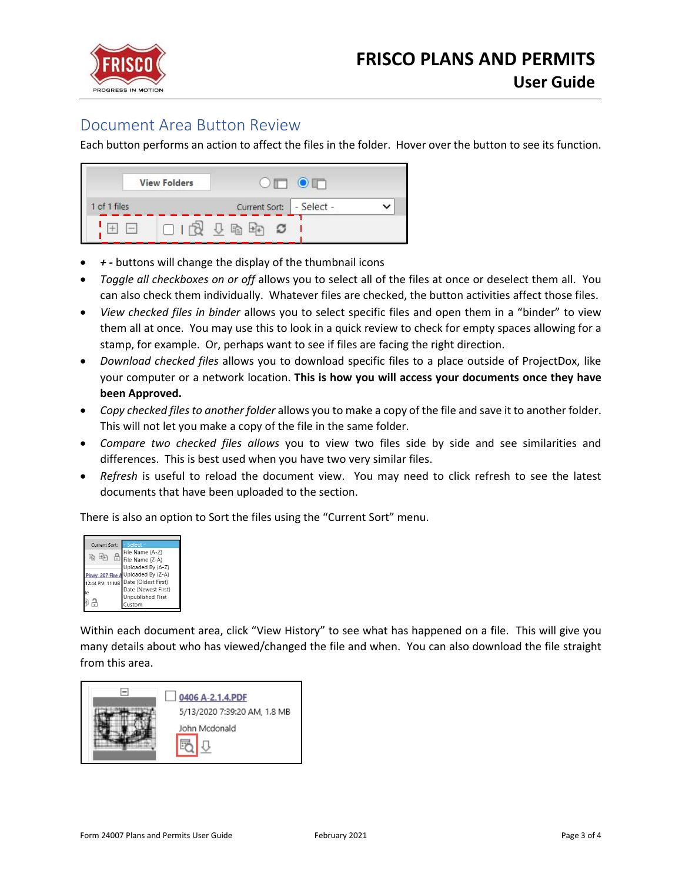

### Document Area Button Review

Each button performs an action to affect the files in the folder. Hover over the button to see its function.



- *+ -* buttons will change the display of the thumbnail icons
- *Toggle all checkboxes on or off* allows you to select all of the files at once or deselect them all. You can also check them individually. Whatever files are checked, the button activities affect those files.
- *View checked files in binder* allows you to select specific files and open them in a "binder" to view them all at once. You may use this to look in a quick review to check for empty spaces allowing for a stamp, for example. Or, perhaps want to see if files are facing the right direction.
- *Download checked files* allows you to download specific files to a place outside of ProjectDox, like your computer or a network location. **This is how you will access your documents once they have been Approved.**
- *Copy checked files to another folder* allows you to make a copy of the file and save it to another folder. This will not let you make a copy of the file in the same folder.
- *Compare two checked files allows* you to view two files side by side and see similarities and differences. This is best used when you have two very similar files.
- *Refresh* is useful to reload the document view. You may need to click refresh to see the latest documents that have been uploaded to the section.

There is also an option to Sort the files using the "Current Sort" menu.



Within each document area, click "View History" to see what has happened on a file. This will give you many details about who has viewed/changed the file and when. You can also download the file straight from this area.